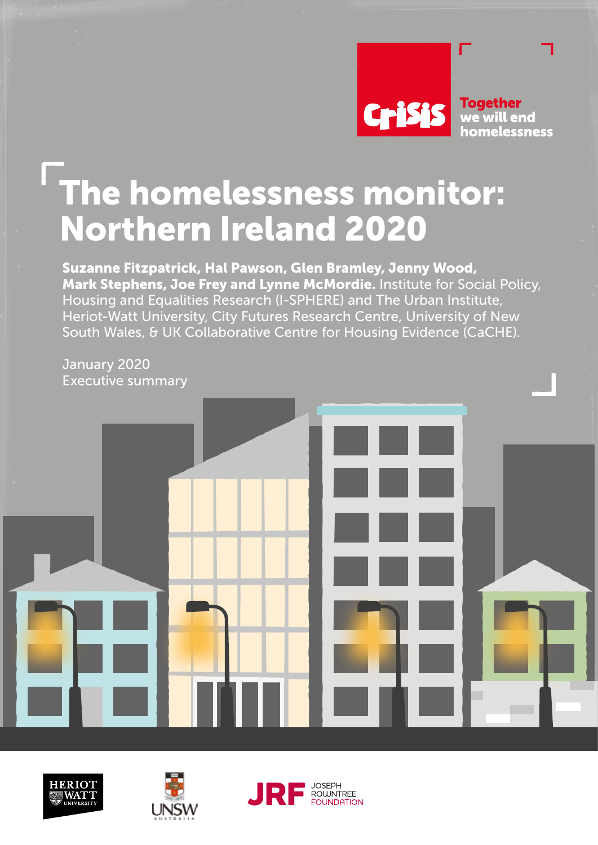

## The homelessness monitor: Northern Ireland 2020

Suzanne Fitzpatrick, Hal Pawson, Glen Bramley, Jenny Wood, Mark Stephens, Joe Frey and Lynne McMordie. Institute for Social Policy, Housing and Equalities Research (I-SPHERE) and The Urban Institute, Heriot-Watt University, City Futures Research Centre, University of New South Wales, & UK Collaborative Centre for Housing Evidence (CaCHE).

January 2020 Executive summary





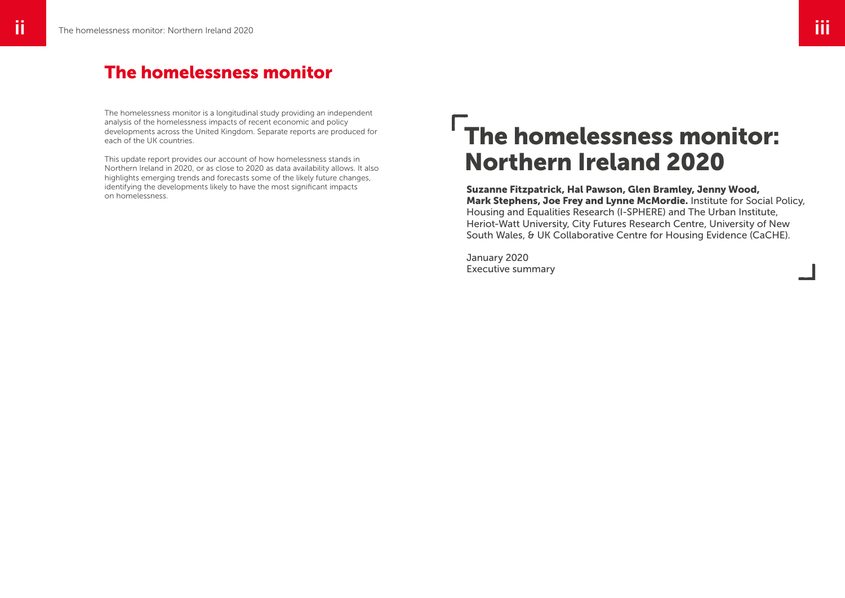### The homelessness monitor

The homelessness monitor is a longitudinal study providing an independent analysis of the homelessness impacts of recent economic and policy developments across the United Kingdom. Separate reports are produced for each of the UK countries.

## <sup>1</sup> The homelessness monitor: Northern Ireland 2020

This update report provides our account of how homelessness stands in Northern Ireland in 2020, or as close to 2020 as data availability allows. It also highlights emerging trends and forecasts some of the likely future changes, identifying the developments likely to have the most significant impacts on homelessness.

Suzanne Fitzpatrick, Hal Pawson, Glen Bramley, Jenny Wood, Mark Stephens, Joe Frey and Lynne McMordie. Institute for Social Policy, Housing and Equalities Research (I-SPHERE) and The Urban Institute, Heriot-Watt University, City Futures Research Centre, University of New South Wales, & UK Collaborative Centre for Housing Evidence (CaCHE).

January 2020 Executive summary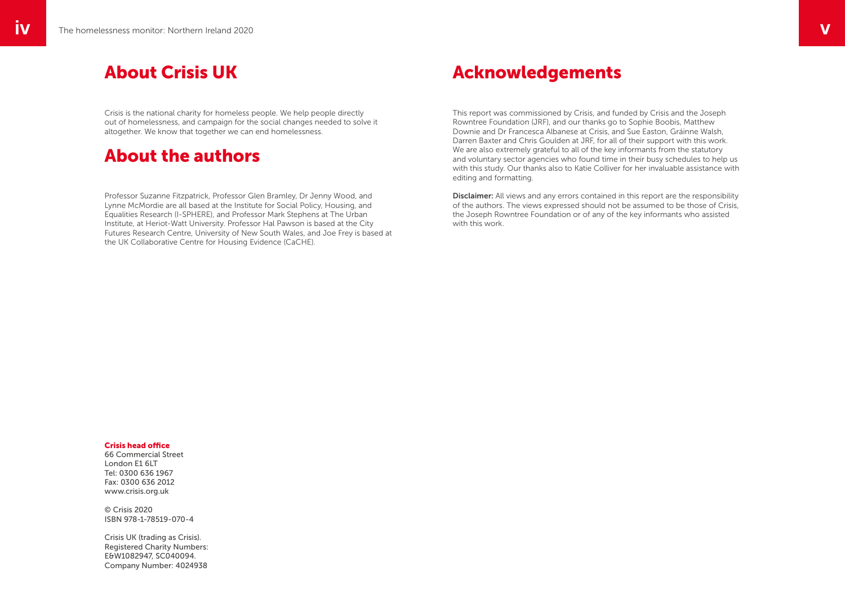#### Crisis head office

66 Commercial Street London E1 6LT Tel: 0300 636 1967 Fax: 0300 636 2012 www.crisis.org.uk

© Crisis 2020 ISBN 978-1-78519-070-4

Crisis UK (trading as Crisis). Registered Charity Numbers: E&W1082947, SC040094. Company Number: 4024938

### About Crisis UK

Crisis is the national charity for homeless people. We help people directly out of homelessness, and campaign for the social changes needed to solve it altogether. We know that together we can end homelessness.

### About the authors

Professor Suzanne Fitzpatrick, Professor Glen Bramley, Dr Jenny Wood, and Lynne McMordie are all based at the Institute for Social Policy, Housing, and Equalities Research (I-SPHERE), and Professor Mark Stephens at The Urban Institute, at Heriot-Watt University. Professor Hal Pawson is based at the City Futures Research Centre, University of New South Wales, and Joe Frey is based at the UK Collaborative Centre for Housing Evidence (CaCHE).

**Disclaimer:** All views and any errors contained in this report are the responsibility of the authors. The views expressed should not be assumed to be those of Crisis, the Joseph Rowntree Foundation or of any of the key informants who assisted with this work.

### Acknowledgements

This report was commissioned by Crisis, and funded by Crisis and the Joseph Rowntree Foundation (JRF), and our thanks go to Sophie Boobis, Matthew Downie and Dr Francesca Albanese at Crisis, and Sue Easton, Gráinne Walsh, Darren Baxter and Chris Goulden at JRF, for all of their support with this work. We are also extremely grateful to all of the key informants from the statutory and voluntary sector agencies who found time in their busy schedules to help us with this study. Our thanks also to Katie Colliver for her invaluable assistance with editing and formatting.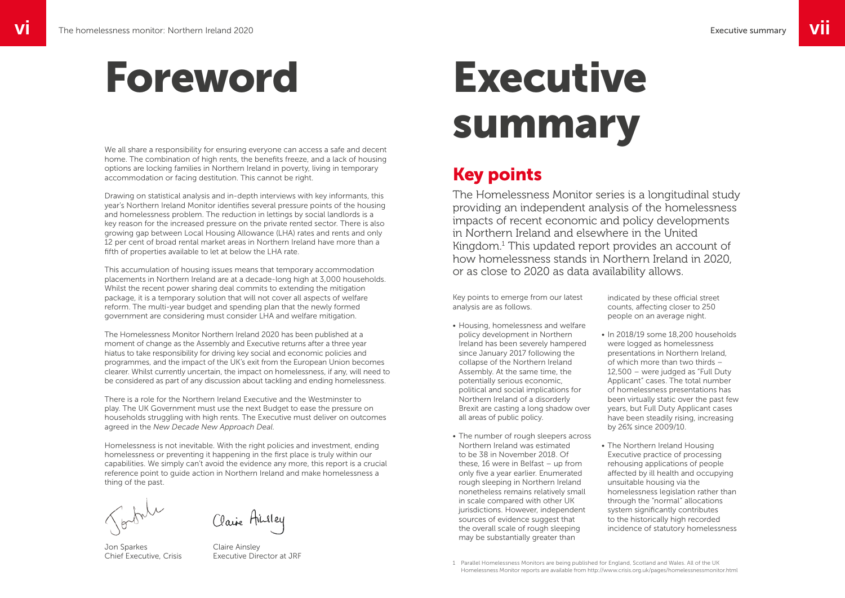Jon Sparkes Chief Executive, Crisis

Clarie Airsley

Claire Ainsley Executive Director at JRF

We all share a responsibility for ensuring everyone can access a safe and decent home. The combination of high rents, the benefits freeze, and a lack of housing options are locking families in Northern Ireland in poverty, living in temporary accommodation or facing destitution. This cannot be right.

Drawing on statistical analysis and in-depth interviews with key informants, this year's Northern Ireland Monitor identifies several pressure points of the housing and homelessness problem. The reduction in lettings by social landlords is a key reason for the increased pressure on the private rented sector. There is also growing gap between Local Housing Allowance (LHA) rates and rents and only 12 per cent of broad rental market areas in Northern Ireland have more than a fifth of properties available to let at below the LHA rate.

This accumulation of housing issues means that temporary accommodation placements in Northern Ireland are at a decade-long high at 3,000 households. Whilst the recent power sharing deal commits to extending the mitigation package, it is a temporary solution that will not cover all aspects of welfare reform. The multi-year budget and spending plan that the newly formed government are considering must consider LHA and welfare mitigation.

The Homelessness Monitor Northern Ireland 2020 has been published at a moment of change as the Assembly and Executive returns after a three year hiatus to take responsibility for driving key social and economic policies and programmes, and the impact of the UK's exit from the European Union becomes clearer. Whilst currently uncertain, the impact on homelessness, if any, will need to be considered as part of any discussion about tackling and ending homelessness.

There is a role for the Northern Ireland Executive and the Westminster to play. The UK Government must use the next Budget to ease the pressure on households struggling with high rents. The Executive must deliver on outcomes agreed in the *New Decade New Approach Deal* .

Homelessness is not inevitable. With the right policies and investment, ending homelessness or preventing it happening in the first place is truly within our capabilities. We simply can't avoid the evidence any more, this report is a crucial reference point to guide action in Northern Ireland and make homelessness a thing of the past.

• The Northern Ireland Housing Executive practice of processing rehousing applications of people affected by ill health and occupying unsuitable housing via the homelessness legislation rather than through the "normal" allocations system significantly contributes to the historically high recorded incidence of statutory homelessness

# Foreword

### Key points

1 Parallel Homelessness Monitors are being published for England, Scotland and Wales. All of the UK Homelessness Monitor reports are available from http://www.crisis.org.uk/pages/homelessnessmonitor.html



The Homelessness Monitor series is a longitudinal study providing an independent analysis of the homelessness impacts of recent economic and policy developments in Northern Ireland and elsewhere in the United Kingdom. 1 This updated report provides an account of how homelessness stands in Northern Ireland in 2020, or as close to 2020 as data availability allows.

Key points to emerge from our latest analysis are as follows.

- Housing, homelessness and welfare policy development in Northern Ireland has been severely hampered since January 2017 following the collapse of the Northern Ireland Assembly. At the same time, the potentially serious economic, political and social implications for Northern Ireland of a disorderly Brexit are casting a long shadow over all areas of public policy.
- The number of rough sleepers across Northern Ireland was estimated to be 38 in November 2018. Of these, 16 were in Belfast – up from only five a year earlier. Enumerated rough sleeping in Northern Ireland nonetheless remains relatively small in scale compared with other UK jurisdictions. However, independent sources of evidence suggest that the overall scale of rough sleeping may be substantially greater than
- 
- 
- 

indicated by these official street counts, affecting closer to 250 people on an average night.

• In 2018/19 some 18,200 households were logged as homelessness presentations in Northern Ireland, of which more than two thirds – 12,500 – were judged as "Full Duty Applicant" cases. The total number of homelessness presentations has been virtually static over the past few years, but Full Duty Applicant cases have been steadily rising, increasing by 26% since 2009/10.

# Executive summary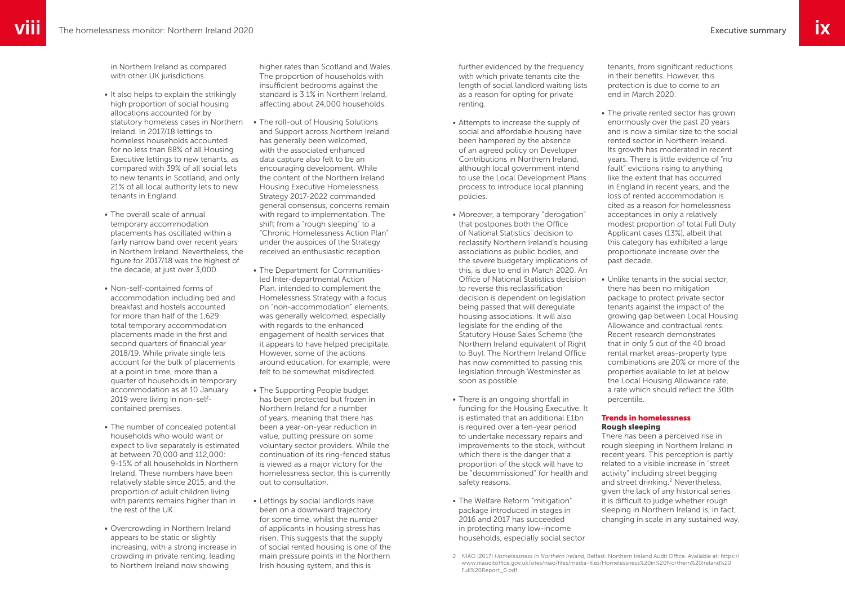in Northern Ireland as compared with other UK jurisdictions.

- It also helps to explain the strikingly high proportion of social housing allocations accounted for by statutory homeless cases in Northern Ireland. In 2017/18 lettings to homeless households accounted for no less than 88% of all Housing Executive lettings to new tenants, as compared with 39% of all social lets to new tenants in Scotland, and only 21% of all local authority lets to new tenants in England.
- The overall scale of annual temporary accommodation placements has oscillated within a fairly narrow band over recent years in Northern Ireland. Nevertheless, the figure for 2017/18 was the highest of the decade, at just over 3,000.
- Non-self-contained forms of accommodation including bed and breakfast and hostels accounted for more than half of the 1,629 total temporary accommodation placements made in the first and second quarters of financial year 2018/19. While private single lets account for the bulk of placements at a point in time, more than a quarter of households in temporary accommodation as at 10 January 2019 were living in non-selfcontained premises.
- The number of concealed potential households who would want or expect to live separately is estimated at between 70,000 and 112,000: 9-15% of all households in Northern Ireland. These numbers have been relatively stable since 2015, and the proportion of adult children living with parents remains higher than in the rest of the UK.
- Overcrowding in Northern Ireland appears to be static or slightly increasing, with a strong increase in crowding in private renting, leading to Northern Ireland now showing

higher rates than Scotland and Wales. The proportion of households with insufficient bedrooms against the standard is 3.1% in Northern Ireland, affecting about 24,000 households.

- The roll-out of Housing Solutions and Support across Northern Ireland has generally been welcomed, with the associated enhanced data capture also felt to be an encouraging development. While the content of the Northern Ireland Housing Executive Homelessness Strategy 2017-2022 commanded general consensus, concerns remain with regard to implementation. The shift from a "rough sleeping" to a "Chronic Homelessness Action Plan" under the auspices of the Strategy received an enthusiastic reception.
- The Department for Communitiesled Inter-departmental Action Plan, intended to complement the Homelessness Strategy with a focus on "non-accommodation" elements, was generally welcomed, especially with regards to the enhanced engagement of health services that it appears to have helped precipitate. However, some of the actions around education, for example, were felt to be somewhat misdirected.
- The Supporting People budget has been protected but frozen in Northern Ireland for a number of years, meaning that there has been a year-on-year reduction in value, putting pressure on some voluntary sector providers. While the continuation of its ring-fenced status is viewed as a major victory for the homelessness sector, this is currently out to consultation.
- Lettings by social landlords have been on a downward trajectory for some time, whilst the number of applicants in housing stress has risen. This suggests that the supply of social rented housing is one of the main pressure points in the Northern Irish housing system, and this is

further evidenced by the frequency with which private tenants cite the length of social landlord waiting lists as a reason for opting for private renting.

- Attempts to increase the supply of social and affordable housing have been hampered by the absence of an agreed policy on Developer Contributions in Northern Ireland, although local government intend to use the Local Development Plans process to introduce local planning policies.
- Moreover, a temporary "derogation" that postpones both the Office of National Statistics' decision to reclassify Northern Ireland's housing associations as public bodies, and the severe budgetary implications of this, is due to end in March 2020. An Office of National Statistics decision to reverse this reclassification decision is dependent on legislation being passed that will deregulate housing associations. It will also legislate for the ending of the Statutory House Sales Scheme (the Northern Ireland equivalent of Right to Buy). The Northern Ireland Office has now committed to passing this legislation through Westminster as soon as possible.
- There is an ongoing shortfall in funding for the Housing Executive. It is estimated that an additional £1bn is required over a ten-year period to undertake necessary repairs and improvements to the stock, without which there is the danger that a proportion of the stock will have to be "decommissioned" for health and safety reasons.
- The Welfare Reform "mitigation" package introduced in stages in 2016 and 2017 has succeeded in protecting many low-income households, especially social sector

tenants, from significant reductions in their benefits. However, this protection is due to come to an end in March 2020.

• The private rented sector has grown enormously over the past 20 years and is now a similar size to the social rented sector in Northern Ireland. Its growth has moderated in recent years. There is little evidence of "no fault" evictions rising to anything like the extent that has occurred in England in recent years, and the loss of rented accommodation is cited as a reason for homelessness acceptances in only a relatively modest proportion of total Full Duty Applicant cases (13%), albeit that this category has exhibited a large proportionate increase over the

- past decade.
- percentile.

• Unlike tenants in the social sector, there has been no mitigation package to protect private sector tenants against the impact of the growing gap between Local Housing Allowance and contractual rents. Recent research demonstrates that in only 5 out of the 40 broad rental market areas-property type combinations are 20% or more of the properties available to let at below the Local Housing Allowance rate, a rate which should reflect the 30th

### Trends in homelessness Rough sleeping

There has been a perceived rise in rough sleeping in Northern Ireland in recent years. This perception is partly related to a visible increase in "street activity" including street begging and street drinking. 2 Nevertheless, given the lack of any historical series it is difficult to judge whether rough sleeping in Northern Ireland is, in fact, changing in scale in any sustained way.

<sup>2</sup> NIAO (2017) *Homelessness in Northern Ireland*, Belfast: Northern Ireland Audit Office. Available at: https:// www.niauditoffice.gov.uk/sites/niao/files/media-files/Homelessness%20in%20Northern%20Ireland%20 Full%20Report\_0.pdf.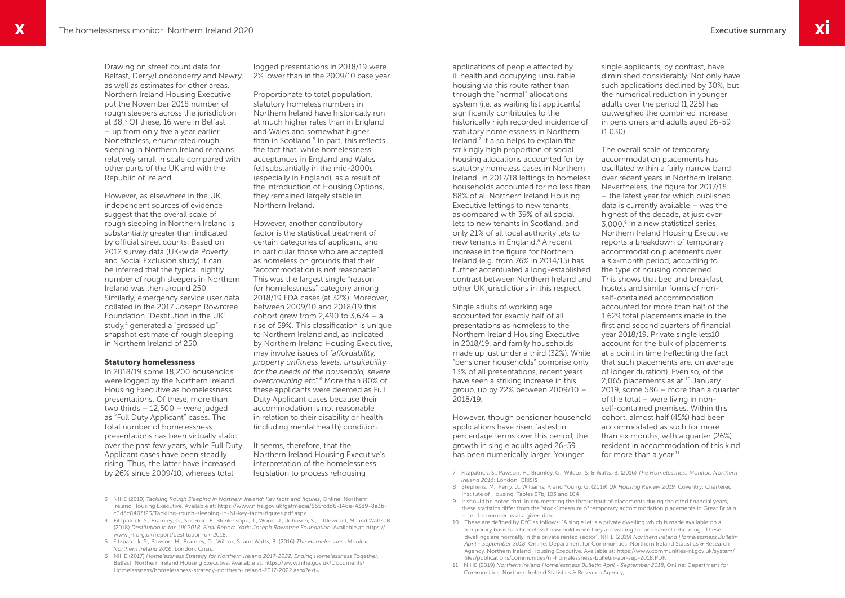Drawing on street count data for Belfast, Derry/Londonderry and Newry, as well as estimates for other areas, Northern Ireland Housing Executive put the November 2018 number of rough sleepers across the jurisdiction at 38. 3 Of these, 16 were in Belfast – up from only five a year earlier. Nonetheless, enumerated rough sleeping in Northern Ireland remains relatively small in scale compared with other parts of the UK and with the Republic of Ireland.

However, as elsewhere in the UK, independent sources of evidence suggest that the overall scale of rough sleeping in Northern Ireland is substantially greater than indicated by official street counts. Based on 2012 survey data (UK-wide Poverty and Social Exclusion study) it can be inferred that the typical nightly number of rough sleepers in Northern Ireland was then around 250. Similarly, emergency service user data collated in the 2017 Joseph Rowntree Foundation "Destitution in the UK" study, 4 generated a "grossed up" snapshot estimate of rough sleeping in Northern Ireland of 250.

#### Statutory homelessness

- by 26% since 2009/10, whereas total legislation to process rehousing<br>3 NIHE (2019) *Tackling Rough Sleeping in Northern Ireland: Key facts and figures*, Online: Northern Ireland Housing Executive. Available at: https://www.nihe.gov.uk/getmedia/665fcdd6-146e-4389-8a3bc3d5c8403f23/Tackling-rough-sleeping-in-NI-key-facts-figures.pdf.aspx.
- 4 Fitzpatrick, S., Bramley, G., Sosenko, F., Blenkinsopp, J., Wood, J., Johnsen, S., Littlewood, M. and Watts, B. (2018) *Destitution in the UK 2018: Final Report, York: Joseph Rowntree Foundation*. Available at: https:// www.jrf.org.uk/report/destitution-uk-2018.
- 5 Fitzpatrick, S., Pawson, H., Bramley, G., Wilcox, S. and Watts, B. (2016) *The Homelessness Monitor: Northern Ireland 2016*, London: Crisis.
- 6 NIHE (2017) *Homelessness Strategy for Northern Ireland 2017-2022: Ending Homelessness Together*, Belfast: Northern Ireland Housing Executive. Available at: https://www.nihe.gov.uk/Documents/ Homelessness/homelessness-strategy-northern-ireland-2017-2022.aspx?ext=.

In 2018/19 some 18,200 households were logged by the Northern Ireland Housing Executive as homelessness presentations. Of these, more than two thirds – 12,500 – were judged as "Full Duty Applicant" cases. The total number of homelessness presentations has been virtually static over the past few years, while Full Duty Applicant cases have been steadily rising. Thus, the latter have increased

logged presentations in 2018/19 were 2% lower than in the 2009/10 base year.

Proportionate to total population, statutory homeless numbers in Northern Ireland have historically run at much higher rates than in England and Wales and somewhat higher than in Scotland. 5 In part, this reflects the fact that, while homelessness acceptances in England and Wales fell substantially in the mid-2000s (especially in England), as a result of the introduction of Housing Options, they remained largely stable in Northern Ireland.

However, another contributory factor is the statistical treatment of certain categories of applicant, and in particular those who are accepted as homeless on grounds that their "accommodation is not reasonable". This was the largest single "reason for homelessness" category among 2018/19 FDA cases (at 32%). Moreover, between 2009/10 and 2018/19 this cohort grew from 2,490 to  $3,674 - a$ rise of 59%. This classification is unique to Northern Ireland and, as indicated by Northern Ireland Housing Executive, may involve issues of *"affordability, property unfitness levels, unsuitability for the needs of the household, severe overcrowding etc"* . 6 More than 80% of these applicants were deemed as Full Duty Applicant cases because their accommodation is not reasonable in relation to their disability or health (including mental health) condition.

It seems, therefore, that the Northern Ireland Housing Executive's interpretation of the homelessness legislation to process rehousing

applications of people affected by ill health and occupying unsuitable housing via this route rather than through the "normal" allocations system (i.e. as waiting list applicants) significantly contributes to the historically high recorded incidence of statutory homelessness in Northern Ireland.<sup>7</sup> It also helps to explain the strikingly high proportion of social housing allocations accounted for by statutory homeless cases in Northern Ireland. In 2017/18 lettings to homeless households accounted for no less than 88% of all Northern Ireland Housing Executive lettings to new tenants, as compared with 39% of all social lets to new tenants in Scotland, and only 21% of all local authority lets to new tenants in England. 8 A recent increase in the figure for Northern Ireland (e.g. from 76% in 2014/15) has further accentuated a long-established contrast between Northern Ireland and other UK jurisdictions in this respect.

Single adults of working age accounted for exactly half of all presentations as homeless to the Northern Ireland Housing Executive in 2018/19, and family households made up just under a third (32%). While "pensioner households" comprise only 13% of all presentations, recent years have seen a striking increase in this group, up by 22% between 2009/10 – 2018/19.

However, though pensioner household applications have risen fastest in percentage terms over this period, the growth in single adults aged 26-59

- *Ireland 2016*; London: CRISIS
- 8 Stephens, M., Perry, J., Williams, P. and Young, G. (2019) *UK Housing Review 2019.* Coventry: Chartered Institute of Housing. Tables 97b, 103 and 104
- 9 It should be noted that, in enumerating the throughput of placements during the cited financial years, these statistics differ from the 'stock' measure of temporary accommodation placements in Great Britain – i.e. the number as at a given date.
- 10 These are defined by DfC as follows: "A single let is a private dwelling which is made available on a temporary basis to a homeless household while they are waiting for permanent rehousing. These dwellings are normally in the private rented sector". NIHE (2019) *Northern Ireland Homelessness Bulletin April - September 2018*, Online: Department for Communities, Northern Ireland Statistics & Research Agency, Northern Ireland Housing Executive. Available at: https://www.communities-ni.gov.uk/system/ files/publications/communities/ni-homelessness-bulletin-apr-sep-2018.PDF.
- 11 NIHE (2019) *Northern Ireland Homelessness Bulletin April September 2018*, Online: Department for Communities, Northern Ireland Statistics & Research Agency,

single applicants, by contrast, have diminished considerably. Not only have such applications declined by 30%, but the numerical reduction in younger adults over the period (1,225) has outweighed the combined increase in pensioners and adults aged 26-59

(1,030).

has been numerically larger. Younger for more than a year.<sup>11</sup><br>7 Fitzpatrick, S., Pawson, H., Bramley, G., Wilcox, S. & Watts, B. (2016) *The Homelessness Monitor: Northern* The overall scale of temporary accommodation placements has oscillated within a fairly narrow band over recent years in Northern Ireland. Nevertheless, the figure for 2017/18 – the latest year for which published data is currently available – was the highest of the decade, at just over 3,000. 9 In a new statistical series, Northern Ireland Housing Executive reports a breakdown of temporary accommodation placements over a six-month period, according to the type of housing concerned. This shows that bed and breakfast, hostels and similar forms of nonself-contained accommodation accounted for more than half of the 1,629 total placements made in the first and second quarters of financial year 2018/19. Private single lets10 account for the bulk of placements at a point in time (reflecting the fact that such placements are, on average of longer duration). Even so, of the 2,065 placements as at  $10$  January 2019, some 586 – more than a quarter of the total – were living in nonself-contained premises. Within this cohort, almost half (45%) had been accommodated as such for more than six months, with a quarter (26%) resident in accommodation of this kind for more than a year. $11$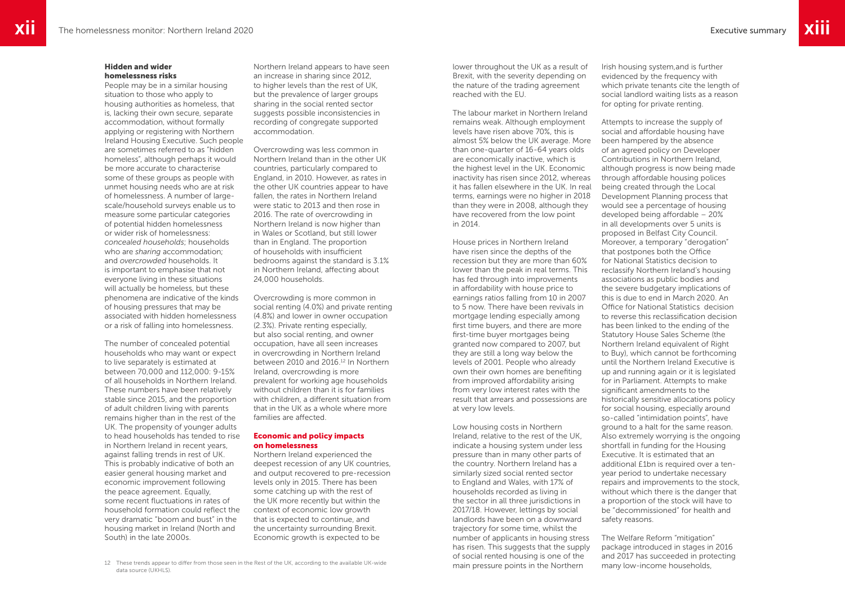### Hidden and wider homelessness risks

People may be in a similar housing situation to those who apply to housing authorities as homeless, that is, lacking their own secure, separate accommodation, without formally applying or registering with Northern Ireland Housing Executive. Such people are sometimes referred to as "hidden homeless", although perhaps it would be more accurate to characterise some of these groups as people with unmet housing needs who are at risk of homelessness. A number of largescale/household surveys enable us to measure some particular categories of potential hidden homelessness or wider risk of homelessness: *concealed households*; households who are *sharing* accommodation; and *overcrowded* households. It is important to emphasise that not everyone living in these situations will actually be homeless, but these phenomena are indicative of the kinds of housing pressures that may be associated with hidden homelessness or a risk of falling into homelessness.

The number of concealed potential households who may want or expect to live separately is estimated at between 70,000 and 112,000: 9-15% of all households in Northern Ireland. These numbers have been relatively stable since 2015, and the proportion of adult children living with parents remains higher than in the rest of the UK. The propensity of younger adults to head households has tended to rise in Northern Ireland in recent years, against falling trends in rest of UK. This is probably indicative of both an easier general housing market and economic improvement following the peace agreement. Equally, some recent fluctuations in rates of household formation could reflect the very dramatic "boom and bust" in the housing market in Ireland (North and South) in the late 2000s.

12 These trends appear to differ from those seen in the Rest of the UK, according to the available UK-wide data source (UKHLS).

Northern Ireland appears to have seen an increase in sharing since 2012, to higher levels than the rest of UK, but the prevalence of larger groups sharing in the social rented sector suggests possible inconsistencies in recording of congregate supported accommodation.

Overcrowding was less common in Northern Ireland than in the other UK countries, particularly compared to England, in 2010. However, as rates in the other UK countries appear to have fallen, the rates in Northern Ireland were static to 2013 and then rose in 2016. The rate of overcrowding in Northern Ireland is now higher than in Wales or Scotland, but still lower than in England. The proportion of households with insufficient bedrooms against the standard is 3.1% in Northern Ireland, affecting about 24,000 households.

Overcrowding is more common in social renting (4.0%) and private renting (4.8%) and lower in owner occupation (2.3%). Private renting especially, but also social renting, and owner occupation, have all seen increases in overcrowding in Northern Ireland between 2010 and 2016.<sup>12</sup> In Northern Ireland, overcrowding is more prevalent for working age households without children than it is for families with children, a different situation from that in the UK as a whole where more families are affected.

### Economic and policy impacts on homelessness

Northern Ireland experienced the deepest recession of any UK countries, and output recovered to pre-recession levels only in 2015. There has been some catching up with the rest of the UK more recently but within the context of economic low growth that is expected to continue, and the uncertainty surrounding Brexit. Economic growth is expected to be

lower throughout the UK as a result of Brexit, with the severity depending on the nature of the trading agreement reached with the EU.

The labour market in Northern Ireland remains weak. Although employment levels have risen above 70%, this is almost 5% below the UK average. More than one-quarter of 16-64 years olds are economically inactive, which is the highest level in the UK. Economic inactivity has risen since 2012, whereas it has fallen elsewhere in the UK. In real terms, earnings were no higher in 2018 than they were in 2008, although they have recovered from the low point in 2014.

House prices in Northern Ireland have risen since the depths of the recession but they are more than 60% lower than the peak in real terms. This has fed through into improvements in affordability with house price to earnings ratios falling from 10 in 2007 to 5 now. There have been revivals in mortgage lending especially among first time buyers, and there are more first-time buyer mortgages being granted now compared to 2007, but they are still a long way below the levels of 2001. People who already own their own homes are benefiting from improved affordability arising from very low interest rates with the result that arrears and possessions are at very low levels.

Low housing costs in Northern Ireland, relative to the rest of the UK, indicate a housing system under less pressure than in many other parts of the country. Northern Ireland has a similarly sized social rented sector to England and Wales, with 17% of households recorded as living in the sector in all three jurisdictions in 2017/18. However, lettings by social landlords have been on a downward trajectory for some time, whilst the number of applicants in housing stress has risen. This suggests that the supply of social rented housing is one of the main pressure points in the Northern

### Irish housing system,and is further evidenced by the frequency with which private tenants cite the length of social landlord waiting lists as a reason for opting for private renting.

Attempts to increase the supply of social and affordable housing have been hampered by the absence of an agreed policy on Developer Contributions in Northern Ireland, although progress is now being made through affordable housing polices being created through the Local Development Planning process that would see a percentage of housing developed being affordable – 20% in all developments over 5 units is proposed in Belfast City Council. Moreover, a temporary "derogation" that postpones both the Office for National Statistics decision to reclassify Northern Ireland's housing associations as public bodies and the severe budgetary implications of this is due to end in March 2020. An Office for National Statistics decision to reverse this reclassification decision has been linked to the ending of the Statutory House Sales Scheme (the Northern Ireland equivalent of Right to Buy), which cannot be forthcoming until the Northern Ireland Executive is up and running again or it is legislated for in Parliament. Attempts to make significant amendments to the historically sensitive allocations policy for social housing, especially around so-called "intimidation points", have ground to a halt for the same reason. Also extremely worrying is the ongoing shortfall in funding for the Housing Executive. It is estimated that an additional £1bn is required over a tenyear period to undertake necessary repairs and improvements to the stock, without which there is the danger that a proportion of the stock will have to be "decommissioned" for health and safety reasons.

The Welfare Reform "mitigation" package introduced in stages in 2016 and 2017 has succeeded in protecting many low-income households,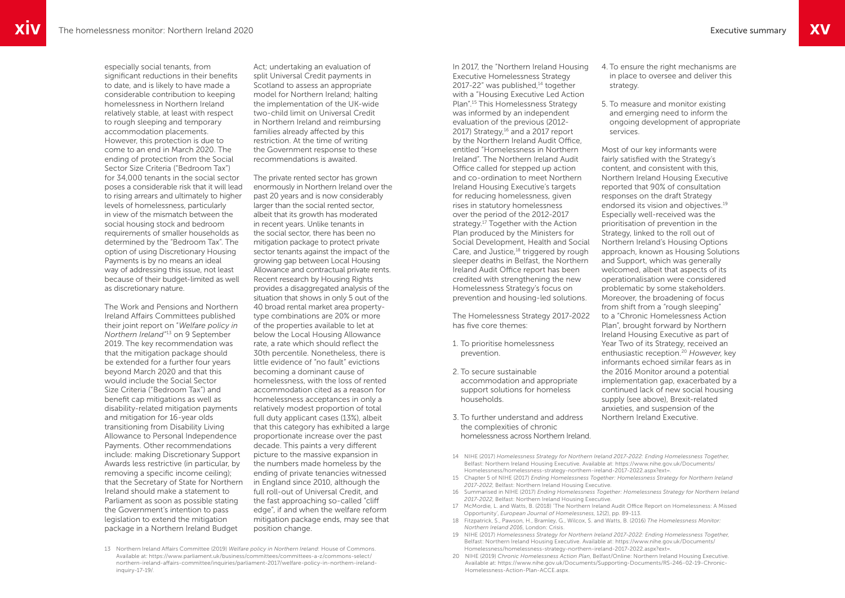especially social tenants, from significant reductions in their benefits to date, and is likely to have made a considerable contribution to keeping homelessness in Northern Ireland relatively stable, at least with respect to rough sleeping and temporary accommodation placements. However, this protection is due to come to an end in March 2020. The ending of protection from the Social Sector Size Criteria ("Bedroom Tax") for 34,000 tenants in the social sector poses a considerable risk that it will lead to rising arrears and ultimately to higher levels of homelessness, particularly in view of the mismatch between the social housing stock and bedroom requirements of smaller households as determined by the "Bedroom Tax". The option of using Discretionary Housing Payments is by no means an ideal way of addressing this issue, not least because of their budget-limited as well as discretionary nature.

The Work and Pensions and Northern Ireland Affairs Committees published their joint report on "*Welfare policy in Northern Ireland* " 13 on 9 September 2019. The key recommendation was that the mitigation package should be extended for a further four years beyond March 2020 and that this would include the Social Sector Size Criteria ("Bedroom Tax") and benefit cap mitigations as well as disability-related mitigation payments and mitigation for 16-year olds transitioning from Disability Living Allowance to Personal Independence Payments. Other recommendations include: making Discretionary Support Awards less restrictive (in particular, by removing a specific income ceiling); that the Secretary of State for Northern Ireland should make a statement to Parliament as soon as possible stating the Government's intention to pass legislation to extend the mitigation package in a Northern Ireland Budget

Act; undertaking an evaluation of split Universal Credit payments in Scotland to assess an appropriate model for Northern Ireland; halting the implementation of the UK-wide two-child limit on Universal Credit in Northern Ireland and reimbursing families already affected by this restriction. At the time of writing the Government response to these recommendations is awaited.

The private rented sector has grown enormously in Northern Ireland over the past 20 years and is now considerably larger than the social rented sector, albeit that its growth has moderated in recent years. Unlike tenants in the social sector, there has been no mitigation package to protect private sector tenants against the impact of the growing gap between Local Housing Allowance and contractual private rents. Recent research by Housing Rights provides a disaggregated analysis of the situation that shows in only 5 out of the 40 broad rental market area propertytype combinations are 20% or more of the properties available to let at below the Local Housing Allowance rate, a rate which should reflect the 30th percentile. Nonetheless, there is little evidence of "no fault" evictions becoming a dominant cause of homelessness, with the loss of rented accommodation cited as a reason for homelessness acceptances in only a relatively modest proportion of total full duty applicant cases (13%), albeit that this category has exhibited a large proportionate increase over the past decade. This paints a very different picture to the massive expansion in the numbers made homeless by the ending of private tenancies witnessed in England since 2010, although the full roll-out of Universal Credit, and the fast approaching so-called "cliff edge", if and when the welfare reform mitigation package ends, may see that position change.

In 2017, the "Northern Ireland Housing Executive Homelessness Strategy 2017-22" was published. $14$  together with a "Housing Executive Led Action Plan".15 This Homelessness Strategy was informed by an independent evaluation of the previous (2012- 2017) Strategy,<sup>16</sup> and a 2017 report by the Northern Ireland Audit Office, entitled "Homelessness in Northern Ireland". The Northern Ireland Audit Office called for stepped up action and co-ordination to meet Northern Ireland Housing Executive's targets for reducing homelessness, given rises in statutory homelessness over the period of the 2012-2017 strategy.<sup>17</sup> Together with the Action Plan produced by the Ministers for Social Development, Health and Social Care, and Justice, $18$  triggered by rough sleeper deaths in Belfast, the Northern Ireland Audit Office report has been credited with strengthening the new Homelessness Strategy's focus on prevention and housing-led solutions.

The Homelessness Strategy 2017-2022 has five core themes:

- 1. To prioritise homelessness prevention.
- 2. To secure sustainable accommodation and appropriate support solutions for homeless households.
- 3. To further understand and address the complexities of chronic homelessness across Northern Ireland.

- 14 NIHE (2017) *Homelessness Strategy for Northern Ireland 2017-2022: Ending Homelessness Together*, Belfast: Northern Ireland Housing Executive. Available at: https://www.nihe.gov.uk/Documents/ Homelessness/homelessness-strategy-northern-ireland-2017-2022.aspx?ext=.
- 15 Chapter 5 of NIHE (2017) *Ending Homelessness Together: Homelessness Strategy for Northern Ireland 2017-2022*, Belfast: Northern Ireland Housing Executive.
- 16 Summarised in NIHE (2017) *Ending Homelessness Together: Homelessness Strategy for Northern Ireland 2017-2022*, Belfast: Northern Ireland Housing Executive.
- 17 McMordie, L. and Watts, B. (2018) 'The Northern Ireland Audit Office Report on Homelessness: A Missed Opportunity', *European Journal of Homelessness*, 12(2), pp. 89-113.
- 18 Fitzpatrick, S., Pawson, H., Bramley, G., Wilcox, S. and Watts, B. (2016) *The Homelessness Monitor: Northern Ireland 2016*, London: Crisis.
- 19 NIHE (2017) *Homelessness Strategy for Northern Ireland 2017-2022: Ending Homelessness Together*, Belfast: Northern Ireland Housing Executive. Available at: https://www.nihe.gov.uk/Documents/ Homelessness/homelessness-strategy-northern-ireland-2017-2022.aspx?ext=.
- 20 NIHE (2019) *Chronic Homelessness Action Plan*, Belfast/Online: Northern Ireland Housing Executive. Available at: https://www.nihe.gov.uk/Documents/Supporting-Documents/RS-246-02-19-Chronic-Homelessness-Action-Plan-ACCE.aspx.



4. To ensure the right mechanisms are in place to oversee and deliver this

- strategy.
- services.

5. To measure and monitor existing and emerging need to inform the ongoing development of appropriate

Most of our key informants were fairly satisfied with the Strategy's content, and consistent with this, Northern Ireland Housing Executive reported that 90% of consultation responses on the draft Strategy endorsed its vision and objectives.<sup>19</sup> Especially well-received was the prioritisation of prevention in the Strategy, linked to the roll out of Northern Ireland's Housing Options approach, known as Housing Solutions and Support, which was generally welcomed, albeit that aspects of its operationalisation were considered problematic by some stakeholders. Moreover, the broadening of focus from shift from a "rough sleeping" to a "Chronic Homelessness Action Plan", brought forward by Northern Ireland Housing Executive as part of Year Two of its Strategy, received an enthusiastic reception.20 *However*, key informants echoed similar fears as in the 2016 Monitor around a potential implementation gap, exacerbated by a continued lack of new social housing supply (see above), Brexit-related anxieties, and suspension of the Northern Ireland Executive.

<sup>13</sup> Northern Ireland Affairs Committee (2019) *Welfare policy in Northern Ireland*: House of Commons. Available at: https://www.parliament.uk/business/committees/committees-a-z/commons-select/ northern-ireland-affairs-committee/inquiries/parliament-2017/welfare-policy-in-northern-irelandinquiry-17-19/.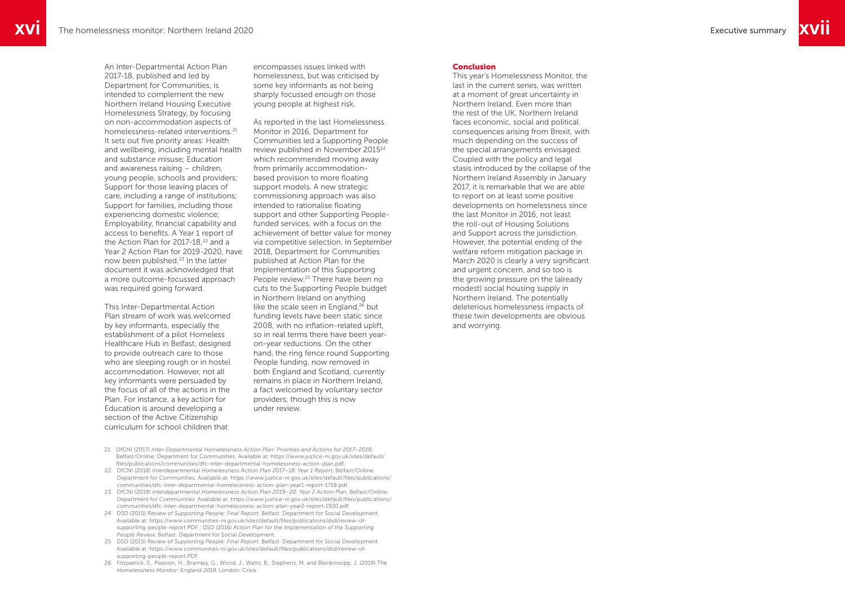An Inter-Departmental Action Plan 2017-18, published and led by Department for Communities, is intended to complement the new Northern Ireland Housing Executive Homelessness Strategy, by focusing on non-accommodation aspects of homelessness-related interventions.21 It sets out five priority areas: Health and wellbeing, including mental health and substance misuse; Education and awareness raising – children, young people, schools and providers; Support for those leaving places of care, including a range of institutions; Support for families, including those experiencing domestic violence; Employability, financial capability and access to benefits. A Year 1 report of the Action Plan for 2017-18,<sup>22</sup> and a Year 2 Action Plan for 2019-2020, have now been published.23 In the latter document it was acknowledged that a more outcome-focussed approach was required going forward.

This Inter-Departmental Action Plan stream of work was welcomed by key informants, especially the establishment of a pilot Homeless Healthcare Hub in Belfast, designed to provide outreach care to those who are sleeping rough or in hostel accommodation. However, not all key informants were persuaded by the focus of all of the actions in the Plan. For instance, a key action for Education is around developing a section of the Active Citizenship curriculum for school children that

- 21 DfCNI (2017) *Inter-Departmental Homelessness Action Plan: Priorities and Actions for 2017–2018*, Belfast/Online: Department for Communities. Available at: https://www.justice-ni.gov.uk/sites/default/ files/publications/communities/dfc-inter-departmental-homelessness-action-plan.pdf.
- 22 DfCNI (2018) *Interdepartmental Homelessness Action Plan 2017–18: Year 1 Report*, Belfast/Online: Department for Communities. Available at: https://www.justice-ni.gov.uk/sites/default/files/publications/ communities/dfc-inter-departmental-homelessness-action-plan-year1-report-1718.pdf.
- 23 DfCNI (2019) *Interdepartmental Homelessness Action Plan 2019–20: Year 2 Action Plan*, Belfast/Online: Department for Communities. Available at: https://www.justice-ni.gov.uk/sites/default/files/publications/ communities/dfc-inter-departmental-homelessness-action-plan-year2-report-1920.pdf.
- 24 DSD (2015) *Review of Supporting People: Final Report*, Belfast: Department for Social Development. Available at: https://www.communities-ni.gov.uk/sites/default/files/publications/dsd/review-ofsupporting-people-report.PDF ; DSD (2016) *Action Plan for the Implementation of the Supporting People Review*, Belfast: Department for Social Development.
- 25 DSD (2015) *Review of Supporting People: Final Report*, Belfast: Department for Social Development. Available at: https://www.communities-ni.gov.uk/sites/default/files/publications/dsd/review-ofsupporting-people-report.PDF.
- 26 Fitzpatrick, S., Pawson, H., Bramley, G., Wood, J., Watts, B., Stephens, M. and Blenkinsopp, J. (2019) *The Homelessness Monitor: England 2019*, London: Crisis.



encompasses issues linked with homelessness, but was criticised by some key informants as not being sharply focussed enough on those young people at highest risk.

As reported in the last Homelessness Monitor in 2016, Department for Communities led a Supporting People review published in November 2015<sup>24</sup> which recommended moving away from primarily accommodationbased provision to more floating support models. A new strategic commissioning approach was also intended to rationalise floating support and other Supporting Peoplefunded services, with a focus on the achievement of better value for money via competitive selection. In September 2018, Department for Communities published at Action Plan for the Implementation of this Supporting People review.<sup>25</sup> There have been no cuts to the Supporting People budget in Northern Ireland on anything like the scale seen in England,<sup>26</sup> but funding levels have been static since 2008, with no inflation-related uplift, so in real terms there have been yearon-year reductions. On the other hand, the ring fence round Supporting People funding, now removed in both England and Scotland, currently remains in place in Northern Ireland, a fact welcomed by voluntary sector providers, though this is now under review.

### Conclusion

This year's Homelessness Monitor, the last in the current series, was written at a moment of great uncertainty in Northern Ireland. Even more than the rest of the UK, Northern Ireland faces economic, social and political consequences arising from Brexit, with much depending on the success of the special arrangements envisaged. Coupled with the policy and legal stasis introduced by the collapse of the Northern Ireland Assembly in January 2017, it is remarkable that we are able to report on at least some positive developments on homelessness since the last Monitor in 2016, not least the roll-out of Housing Solutions and Support across the jurisdiction. However, the potential ending of the welfare reform mitigation package in March 2020 is clearly a very significant and urgent concern, and so too is the growing pressure on the (already modest) social housing supply in Northern Ireland. The potentially deleterious homelessness impacts of these twin developments are obvious and worrying.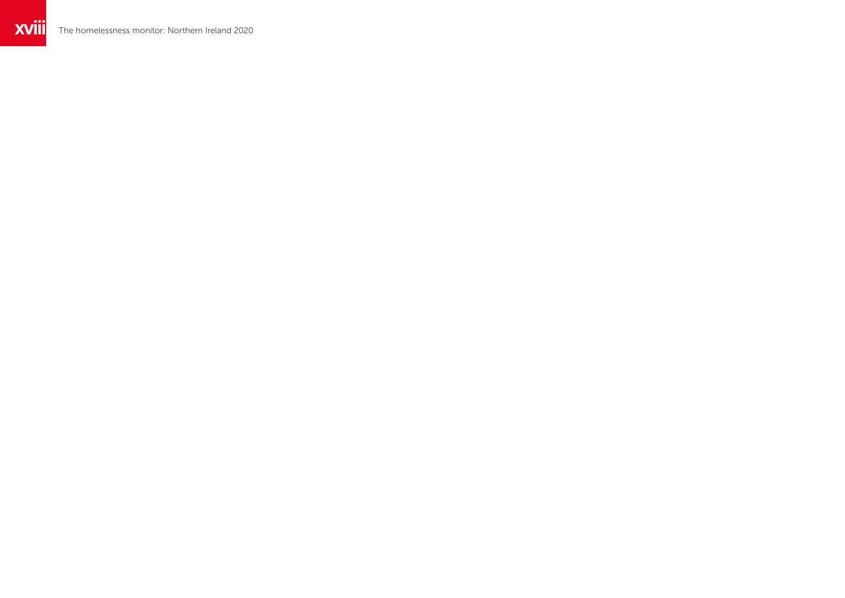